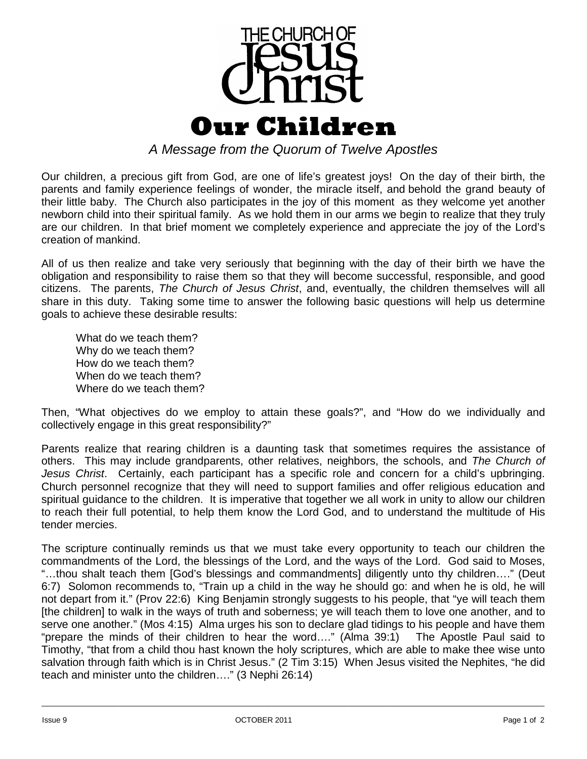

*A Message from the Quorum of Twelve Apostles*

Our children, a precious gift from God, are one of life's greatest joys! On the day of their birth, the parents and family experience feelings of wonder, the miracle itself, and behold the grand beauty of their little baby. The Church also participates in the joy of this moment as they welcome yet another newborn child into their spiritual family. As we hold them in our arms we begin to realize that they truly are our children. In that brief moment we completely experience and appreciate the joy of the Lord's creation of mankind.

All of us then realize and take very seriously that beginning with the day of their birth we have the obligation and responsibility to raise them so that they will become successful, responsible, and good citizens. The parents, *The Church of Jesus Christ*, and, eventually, the children themselves will all share in this duty. Taking some time to answer the following basic questions will help us determine goals to achieve these desirable results:

What do we teach them? Why do we teach them? How do we teach them? When do we teach them? Where do we teach them?

Then, "What objectives do we employ to attain these goals?", and "How do we individually and collectively engage in this great responsibility?"

Parents realize that rearing children is a daunting task that sometimes requires the assistance of others. This may include grandparents, other relatives, neighbors, the schools, and *The Church of Jesus Christ*. Certainly, each participant has a specific role and concern for a child's upbringing. Church personnel recognize that they will need to support families and offer religious education and spiritual guidance to the children. It is imperative that together we all work in unity to allow our children to reach their full potential, to help them know the Lord God, and to understand the multitude of His tender mercies.

The scripture continually reminds us that we must take every opportunity to teach our children the commandments of the Lord, the blessings of the Lord, and the ways of the Lord. God said to Moses, "…thou shalt teach them [God's blessings and commandments] diligently unto thy children…." (Deut 6:7) Solomon recommends to, "Train up a child in the way he should go: and when he is old, he will not depart from it." (Prov 22:6) King Benjamin strongly suggests to his people, that "ye will teach them [the children] to walk in the ways of truth and soberness; ye will teach them to love one another, and to serve one another." (Mos 4:15) Alma urges his son to declare glad tidings to his people and have them "prepare the minds of their children to hear the word…." (Alma 39:1) The Apostle Paul said to Timothy, "that from a child thou hast known the holy scriptures, which are able to make thee wise unto salvation through faith which is in Christ Jesus." (2 Tim 3:15) When Jesus visited the Nephites, "he did teach and minister unto the children…." (3 Nephi 26:14)

\_\_\_\_\_\_\_\_\_\_\_\_\_\_\_\_\_\_\_\_\_\_\_\_\_\_\_\_\_\_\_\_\_\_\_\_\_\_\_\_\_\_\_\_\_\_\_\_\_\_\_\_\_\_\_\_\_\_\_\_\_\_\_\_\_\_\_\_\_\_\_\_\_\_\_\_\_\_\_\_\_\_\_\_\_\_\_\_\_\_\_\_\_\_\_\_\_\_\_\_\_\_\_\_\_\_\_\_\_\_\_\_\_\_\_\_\_\_